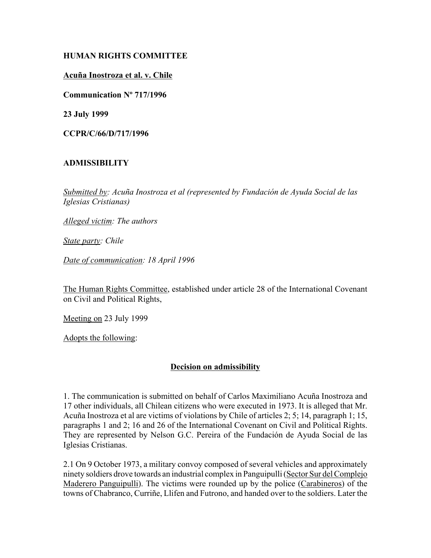## **HUMAN RIGHTS COMMITTEE**

## **Acuña Inostroza et al. v. Chile**

**Communication Nº 717/1996**

**23 July 1999**

**CCPR/C/66/D/717/1996**

# **ADMISSIBILITY**

*Submitted by: Acuña Inostroza et al (represented by Fundación de Ayuda Social de las Iglesias Cristianas)* 

*Alleged victim: The authors* 

*State party: Chile* 

*Date of communication: 18 April 1996*

The Human Rights Committee, established under article 28 of the International Covenant on Civil and Political Rights,

Meeting on 23 July 1999

Adopts the following:

#### **Decision on admissibility**

1. The communication is submitted on behalf of Carlos Maximiliano Acuña Inostroza and 17 other individuals, all Chilean citizens who were executed in 1973. It is alleged that Mr. Acuña Inostroza et al are victims of violations by Chile of articles 2; 5; 14, paragraph 1; 15, paragraphs 1 and 2; 16 and 26 of the International Covenant on Civil and Political Rights. They are represented by Nelson G.C. Pereira of the Fundación de Ayuda Social de las Iglesias Cristianas.

2.1 On 9 October 1973, a military convoy composed of several vehicles and approximately ninety soldiers drove towards an industrial complex in Panguipulli (Sector Sur del Complejo Maderero Panguipulli). The victims were rounded up by the police (Carabineros) of the towns of Chabranco, Curriñe, Llifen and Futrono, and handed over to the soldiers. Later the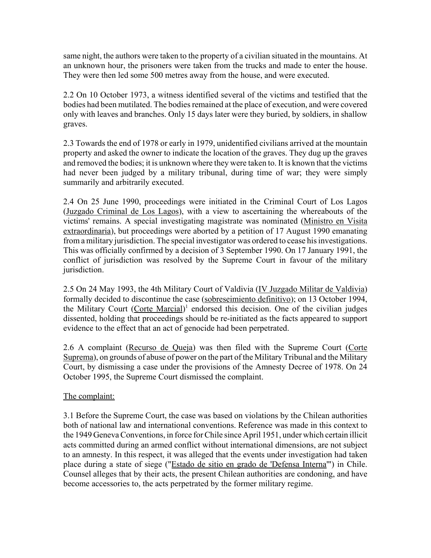same night, the authors were taken to the property of a civilian situated in the mountains. At an unknown hour, the prisoners were taken from the trucks and made to enter the house. They were then led some 500 metres away from the house, and were executed.

2.2 On 10 October 1973, a witness identified several of the victims and testified that the bodies had been mutilated. The bodies remained at the place of execution, and were covered only with leaves and branches. Only 15 days later were they buried, by soldiers, in shallow graves.

2.3 Towards the end of 1978 or early in 1979, unidentified civilians arrived at the mountain property and asked the owner to indicate the location of the graves. They dug up the graves and removed the bodies; it is unknown where they were taken to. It is known that the victims had never been judged by a military tribunal, during time of war; they were simply summarily and arbitrarily executed.

2.4 On 25 June 1990, proceedings were initiated in the Criminal Court of Los Lagos (Juzgado Criminal de Los Lagos), with a view to ascertaining the whereabouts of the victims' remains. A special investigating magistrate was nominated (Ministro en Visita extraordinaria), but proceedings were aborted by a petition of 17 August 1990 emanating from a military jurisdiction. The special investigator was ordered to cease his investigations. This was officially confirmed by a decision of 3 September 1990. On 17 January 1991, the conflict of jurisdiction was resolved by the Supreme Court in favour of the military jurisdiction.

2.5 On 24 May 1993, the 4th Military Court of Valdivia (IV Juzgado Militar de Valdivia) formally decided to discontinue the case (sobreseimiento definitivo); on 13 October 1994, the Military Court (Corte Marcial)<sup>1</sup> endorsed this decision. One of the civilian judges dissented, holding that proceedings should be re-initiated as the facts appeared to support evidence to the effect that an act of genocide had been perpetrated.

2.6 A complaint (Recurso de Queja) was then filed with the Supreme Court (Corte Suprema), on grounds of abuse of power on the part of the Military Tribunal and the Military Court, by dismissing a case under the provisions of the Amnesty Decree of 1978. On 24 October 1995, the Supreme Court dismissed the complaint.

# The complaint:

3.1 Before the Supreme Court, the case was based on violations by the Chilean authorities both of national law and international conventions. Reference was made in this context to the 1949 Geneva Conventions, in force for Chile since April 1951, under which certain illicit acts committed during an armed conflict without international dimensions, are not subject to an amnesty. In this respect, it was alleged that the events under investigation had taken place during a state of siege ("Estado de sitio en grado de 'Defensa Interna'") in Chile. Counsel alleges that by their acts, the present Chilean authorities are condoning, and have become accessories to, the acts perpetrated by the former military regime.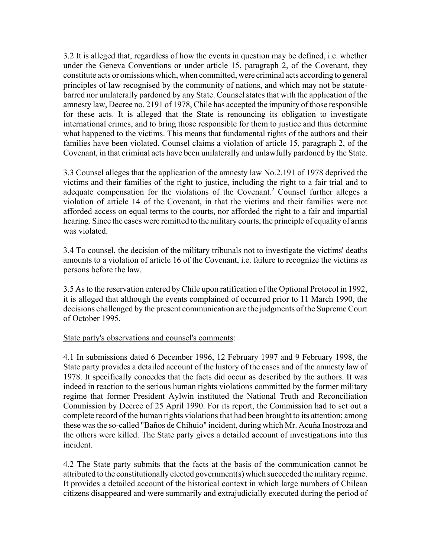3.2 It is alleged that, regardless of how the events in question may be defined, i.e. whether under the Geneva Conventions or under article 15, paragraph 2, of the Covenant, they constitute acts or omissions which, when committed, were criminal acts according to general principles of law recognised by the community of nations, and which may not be statutebarred nor unilaterally pardoned by any State. Counsel states that with the application of the amnesty law, Decree no. 2191 of 1978, Chile has accepted the impunity of those responsible for these acts. It is alleged that the State is renouncing its obligation to investigate international crimes, and to bring those responsible for them to justice and thus determine what happened to the victims. This means that fundamental rights of the authors and their families have been violated. Counsel claims a violation of article 15, paragraph 2, of the Covenant, in that criminal acts have been unilaterally and unlawfully pardoned by the State.

3.3 Counsel alleges that the application of the amnesty law No.2.191 of 1978 deprived the victims and their families of the right to justice, including the right to a fair trial and to adequate compensation for the violations of the Covenant.<sup>2</sup> Counsel further alleges a violation of article 14 of the Covenant, in that the victims and their families were not afforded access on equal terms to the courts, nor afforded the right to a fair and impartial hearing. Since the cases were remitted to the military courts, the principle of equality of arms was violated.

3.4 To counsel, the decision of the military tribunals not to investigate the victims' deaths amounts to a violation of article 16 of the Covenant, i.e. failure to recognize the victims as persons before the law.

3.5 As to the reservation entered by Chile upon ratification of the Optional Protocol in 1992, it is alleged that although the events complained of occurred prior to 11 March 1990, the decisions challenged by the present communication are the judgments of the Supreme Court of October 1995.

#### State party's observations and counsel's comments:

4.1 In submissions dated 6 December 1996, 12 February 1997 and 9 February 1998, the State party provides a detailed account of the history of the cases and of the amnesty law of 1978. It specifically concedes that the facts did occur as described by the authors. It was indeed in reaction to the serious human rights violations committed by the former military regime that former President Aylwin instituted the National Truth and Reconciliation Commission by Decree of 25 April 1990. For its report, the Commission had to set out a complete record of the human rights violations that had been brought to its attention; among these was the so-called "Baños de Chihuio" incident, during which Mr. Acuña Inostroza and the others were killed. The State party gives a detailed account of investigations into this incident.

4.2 The State party submits that the facts at the basis of the communication cannot be attributed to the constitutionally elected government(s) which succeeded the military regime. It provides a detailed account of the historical context in which large numbers of Chilean citizens disappeared and were summarily and extrajudicially executed during the period of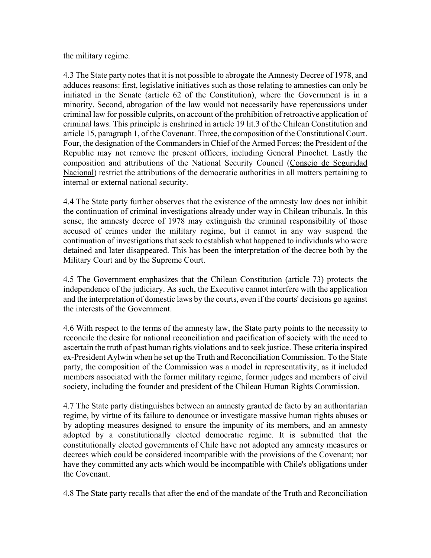the military regime.

4.3 The State party notes that it is not possible to abrogate the Amnesty Decree of 1978, and adduces reasons: first, legislative initiatives such as those relating to amnesties can only be initiated in the Senate (article 62 of the Constitution), where the Government is in a minority. Second, abrogation of the law would not necessarily have repercussions under criminal law for possible culprits, on account of the prohibition of retroactive application of criminal laws. This principle is enshrined in article 19 lit.3 of the Chilean Constitution and article 15, paragraph 1, of the Covenant. Three, the composition of the Constitutional Court. Four, the designation of the Commanders in Chief of the Armed Forces; the President of the Republic may not remove the present officers, including General Pinochet. Lastly the composition and attributions of the National Security Council (Consejo de Seguridad Nacional) restrict the attributions of the democratic authorities in all matters pertaining to internal or external national security.

4.4 The State party further observes that the existence of the amnesty law does not inhibit the continuation of criminal investigations already under way in Chilean tribunals. In this sense, the amnesty decree of 1978 may extinguish the criminal responsibility of those accused of crimes under the military regime, but it cannot in any way suspend the continuation of investigations that seek to establish what happened to individuals who were detained and later disappeared. This has been the interpretation of the decree both by the Military Court and by the Supreme Court.

4.5 The Government emphasizes that the Chilean Constitution (article 73) protects the independence of the judiciary. As such, the Executive cannot interfere with the application and the interpretation of domestic laws by the courts, even if the courts' decisions go against the interests of the Government.

4.6 With respect to the terms of the amnesty law, the State party points to the necessity to reconcile the desire for national reconciliation and pacification of society with the need to ascertain the truth of past human rights violations and to seek justice. These criteria inspired ex-President Aylwin when he set up the Truth and Reconciliation Commission. To the State party, the composition of the Commission was a model in representativity, as it included members associated with the former military regime, former judges and members of civil society, including the founder and president of the Chilean Human Rights Commission.

4.7 The State party distinguishes between an amnesty granted de facto by an authoritarian regime, by virtue of its failure to denounce or investigate massive human rights abuses or by adopting measures designed to ensure the impunity of its members, and an amnesty adopted by a constitutionally elected democratic regime. It is submitted that the constitutionally elected governments of Chile have not adopted any amnesty measures or decrees which could be considered incompatible with the provisions of the Covenant; nor have they committed any acts which would be incompatible with Chile's obligations under the Covenant.

4.8 The State party recalls that after the end of the mandate of the Truth and Reconciliation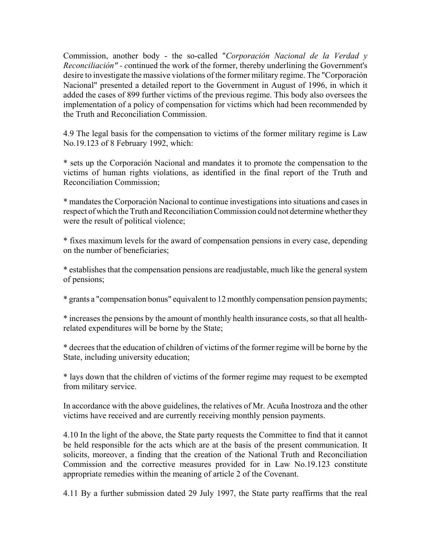Commission, another body - the so-called "*Corporación Nacional de la Verdad y Reconciliación" - continued the work of the former, thereby underlining the Government's* desire to investigate the massive violations of the former military regime. The "Corporación" Nacional" presented a detailed report to the Government in August of 1996, in which it added the cases of 899 further victims of the previous regime. This body also oversees the implementation of a policy of compensation for victims which had been recommended by the Truth and Reconciliation Commission.

4.9 The legal basis for the compensation to victims of the former military regime is Law No.19.123 of 8 February 1992, which:

\* sets up the Corporación Nacional and mandates it to promote the compensation to the victims of human rights violations, as identified in the final report of the Truth and Reconciliation Commission;

\* mandates the Corporación Nacional to continue investigations into situations and cases in respect of which the Truth and Reconciliation Commission could not determine whether they were the result of political violence;

\* fixes maximum levels for the award of compensation pensions in every case, depending on the number of beneficiaries;

\* establishes that the compensation pensions are readjustable, much like the general system of pensions;

\* grants a "compensation bonus" equivalent to 12 monthly compensation pension payments;

\* increases the pensions by the amount of monthly health insurance costs, so that all healthrelated expenditures will be borne by the State;

\* decrees that the education of children of victims of the former regime will be borne by the State, including university education;

\* lays down that the children of victims of the former regime may request to be exempted from military service.

In accordance with the above guidelines, the relatives of Mr. Acuña Inostroza and the other victims have received and are currently receiving monthly pension payments.

4.10 In the light of the above, the State party requests the Committee to find that it cannot be held responsible for the acts which are at the basis of the present communication. It solicits, moreover, a finding that the creation of the National Truth and Reconciliation Commission and the corrective measures provided for in Law No.19.123 constitute appropriate remedies within the meaning of article 2 of the Covenant.

4.11 By a further submission dated 29 July 1997, the State party reaffirms that the real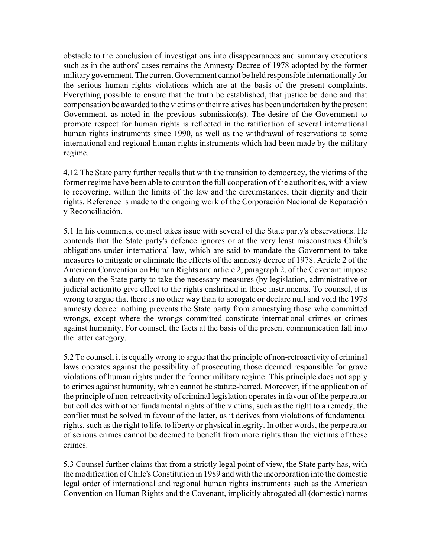obstacle to the conclusion of investigations into disappearances and summary executions such as in the authors' cases remains the Amnesty Decree of 1978 adopted by the former military government. The current Government cannot be held responsible internationally for the serious human rights violations which are at the basis of the present complaints. Everything possible to ensure that the truth be established, that justice be done and that compensation be awarded to the victims or their relatives has been undertaken by the present Government, as noted in the previous submission(s). The desire of the Government to promote respect for human rights is reflected in the ratification of several international human rights instruments since 1990, as well as the withdrawal of reservations to some international and regional human rights instruments which had been made by the military regime.

4.12 The State party further recalls that with the transition to democracy, the victims of the former regime have been able to count on the full cooperation of the authorities, with a view to recovering, within the limits of the law and the circumstances, their dignity and their rights. Reference is made to the ongoing work of the Corporación Nacional de Reparación y Reconciliación.

5.1 In his comments, counsel takes issue with several of the State party's observations. He contends that the State party's defence ignores or at the very least misconstrues Chile's obligations under international law, which are said to mandate the Government to take measures to mitigate or eliminate the effects of the amnesty decree of 1978. Article 2 of the American Convention on Human Rights and article 2, paragraph 2, of the Covenant impose a duty on the State party to take the necessary measures (by legislation, administrative or judicial action)to give effect to the rights enshrined in these instruments. To counsel, it is wrong to argue that there is no other way than to abrogate or declare null and void the 1978 amnesty decree: nothing prevents the State party from amnestying those who committed wrongs, except where the wrongs committed constitute international crimes or crimes against humanity. For counsel, the facts at the basis of the present communication fall into the latter category.

5.2 To counsel, it is equally wrong to argue that the principle of non-retroactivity of criminal laws operates against the possibility of prosecuting those deemed responsible for grave violations of human rights under the former military regime. This principle does not apply to crimes against humanity, which cannot be statute-barred. Moreover, if the application of the principle of non-retroactivity of criminal legislation operates in favour of the perpetrator but collides with other fundamental rights of the victims, such as the right to a remedy, the conflict must be solved in favour of the latter, as it derives from violations of fundamental rights, such as the right to life, to liberty or physical integrity. In other words, the perpetrator of serious crimes cannot be deemed to benefit from more rights than the victims of these crimes.

5.3 Counsel further claims that from a strictly legal point of view, the State party has, with the modification of Chile's Constitution in 1989 and with the incorporation into the domestic legal order of international and regional human rights instruments such as the American Convention on Human Rights and the Covenant, implicitly abrogated all (domestic) norms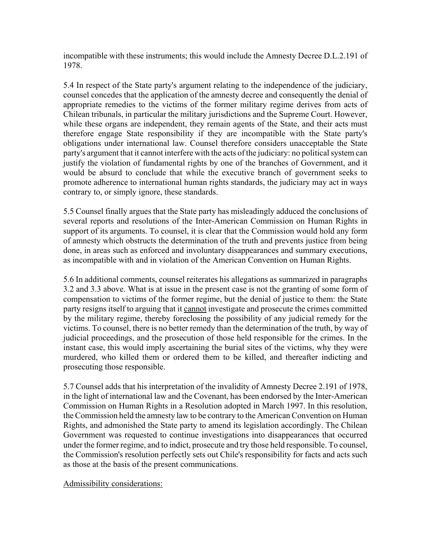incompatible with these instruments; this would include the Amnesty Decree D.L.2.191 of 1978.

5.4 In respect of the State party's argument relating to the independence of the judiciary, counsel concedes that the application of the amnesty decree and consequently the denial of appropriate remedies to the victims of the former military regime derives from acts of Chilean tribunals, in particular the military jurisdictions and the Supreme Court. However, while these organs are independent, they remain agents of the State, and their acts must therefore engage State responsibility if they are incompatible with the State party's obligations under international law. Counsel therefore considers unacceptable the State party's argument that it cannot interfere with the acts of the judiciary: no political system can justify the violation of fundamental rights by one of the branches of Government, and it would be absurd to conclude that while the executive branch of government seeks to promote adherence to international human rights standards, the judiciary may act in ways contrary to, or simply ignore, these standards.

5.5 Counsel finally argues that the State party has misleadingly adduced the conclusions of several reports and resolutions of the Inter-American Commission on Human Rights in support of its arguments. To counsel, it is clear that the Commission would hold any form of amnesty which obstructs the determination of the truth and prevents justice from being done, in areas such as enforced and involuntary disappearances and summary executions, as incompatible with and in violation of the American Convention on Human Rights.

5.6 In additional comments, counsel reiterates his allegations as summarized in paragraphs 3.2 and 3.3 above. What is at issue in the present case is not the granting of some form of compensation to victims of the former regime, but the denial of justice to them: the State party resigns itself to arguing that it cannot investigate and prosecute the crimes committed by the military regime, thereby foreclosing the possibility of any judicial remedy for the victims. To counsel, there is no better remedy than the determination of the truth, by way of judicial proceedings, and the prosecution of those held responsible for the crimes. In the instant case, this would imply ascertaining the burial sites of the victims, why they were murdered, who killed them or ordered them to be killed, and thereafter indicting and prosecuting those responsible.

5.7 Counsel adds that his interpretation of the invalidity of Amnesty Decree 2.191 of 1978, in the light of international law and the Covenant, has been endorsed by the Inter-American Commission on Human Rights in a Resolution adopted in March 1997. In this resolution, the Commission held the amnesty law to be contrary to the American Convention on Human Rights, and admonished the State party to amend its legislation accordingly. The Chilean Government was requested to continue investigations into disappearances that occurred under the former regime, and to indict, prosecute and try those held responsible. To counsel, the Commission's resolution perfectly sets out Chile's responsibility for facts and acts such as those at the basis of the present communications.

#### Admissibility considerations: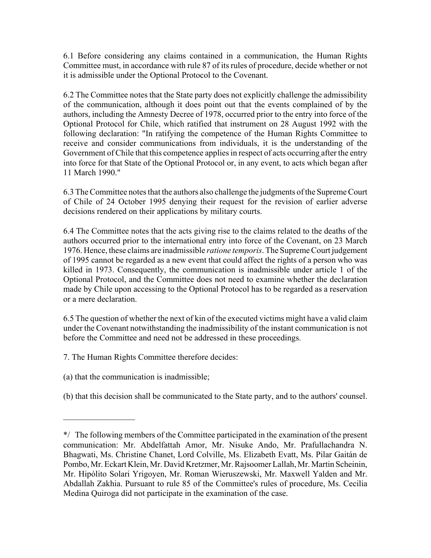6.1 Before considering any claims contained in a communication, the Human Rights Committee must, in accordance with rule 87 of its rules of procedure, decide whether or not it is admissible under the Optional Protocol to the Covenant.

6.2 The Committee notes that the State party does not explicitly challenge the admissibility of the communication, although it does point out that the events complained of by the authors, including the Amnesty Decree of 1978, occurred prior to the entry into force of the Optional Protocol for Chile, which ratified that instrument on 28 August 1992 with the following declaration: "In ratifying the competence of the Human Rights Committee to receive and consider communications from individuals, it is the understanding of the Government of Chile that this competence applies in respect of acts occurring after the entry into force for that State of the Optional Protocol or, in any event, to acts which began after 11 March 1990."

6.3 The Committee notes that the authors also challenge the judgments of the Supreme Court of Chile of 24 October 1995 denying their request for the revision of earlier adverse decisions rendered on their applications by military courts.

6.4 The Committee notes that the acts giving rise to the claims related to the deaths of the authors occurred prior to the international entry into force of the Covenant, on 23 March 1976. Hence, these claims are inadmissible *ratione temporis*. The Supreme Court judgement of 1995 cannot be regarded as a new event that could affect the rights of a person who was killed in 1973. Consequently, the communication is inadmissible under article 1 of the Optional Protocol, and the Committee does not need to examine whether the declaration made by Chile upon accessing to the Optional Protocol has to be regarded as a reservation or a mere declaration.

6.5 The question of whether the next of kin of the executed victims might have a valid claim under the Covenant notwithstanding the inadmissibility of the instant communication is not before the Committee and need not be addressed in these proceedings.

7. The Human Rights Committee therefore decides:

(a) that the communication is inadmissible;

 $\mathcal{L}_\text{max}$ 

(b) that this decision shall be communicated to the State party, and to the authors' counsel.

<sup>\*/</sup> The following members of the Committee participated in the examination of the present communication: Mr. Abdelfattah Amor, Mr. Nisuke Ando, Mr. Prafullachandra N. Bhagwati, Ms. Christine Chanet, Lord Colville, Ms. Elizabeth Evatt, Ms. Pilar Gaitán de Pombo, Mr. Eckart Klein, Mr. David Kretzmer, Mr. Rajsoomer Lallah, Mr. Martin Scheinin, Mr. Hipólito Solari Yrigoyen, Mr. Roman Wieruszewski, Mr. Maxwell Yalden and Mr. Abdallah Zakhia. Pursuant to rule 85 of the Committee's rules of procedure, Ms. Cecilia Medina Quiroga did not participate in the examination of the case.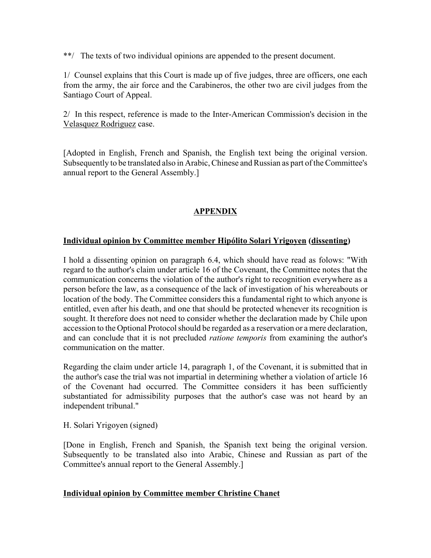\*\*/ The texts of two individual opinions are appended to the present document.

1/ Counsel explains that this Court is made up of five judges, three are officers, one each from the army, the air force and the Carabineros, the other two are civil judges from the Santiago Court of Appeal.

2/ In this respect, reference is made to the Inter-American Commission's decision in the Velasquez Rodriguez case.

[Adopted in English, French and Spanish, the English text being the original version. Subsequently to be translated also in Arabic, Chinese and Russian as part of the Committee's annual report to the General Assembly.]

# **APPENDIX**

## **Individual opinion by Committee member Hipólito Solari Yrigoyen (dissenting)**

I hold a dissenting opinion on paragraph 6.4, which should have read as folows: "With regard to the author's claim under article 16 of the Covenant, the Committee notes that the communication concerns the violation of the author's right to recognition everywhere as a person before the law, as a consequence of the lack of investigation of his whereabouts or location of the body. The Committee considers this a fundamental right to which anyone is entitled, even after his death, and one that should be protected whenever its recognition is sought. It therefore does not need to consider whether the declaration made by Chile upon accession to the Optional Protocol should be regarded as a reservation or a mere declaration, and can conclude that it is not precluded *ratione temporis* from examining the author's communication on the matter.

Regarding the claim under article 14, paragraph 1, of the Covenant, it is submitted that in the author's case the trial was not impartial in determining whether a violation of article 16 of the Covenant had occurred. The Committee considers it has been sufficiently substantiated for admissibility purposes that the author's case was not heard by an independent tribunal."

H. Solari Yrigoyen (signed)

[Done in English, French and Spanish, the Spanish text being the original version. Subsequently to be translated also into Arabic, Chinese and Russian as part of the Committee's annual report to the General Assembly.]

#### **Individual opinion by Committee member Christine Chanet**